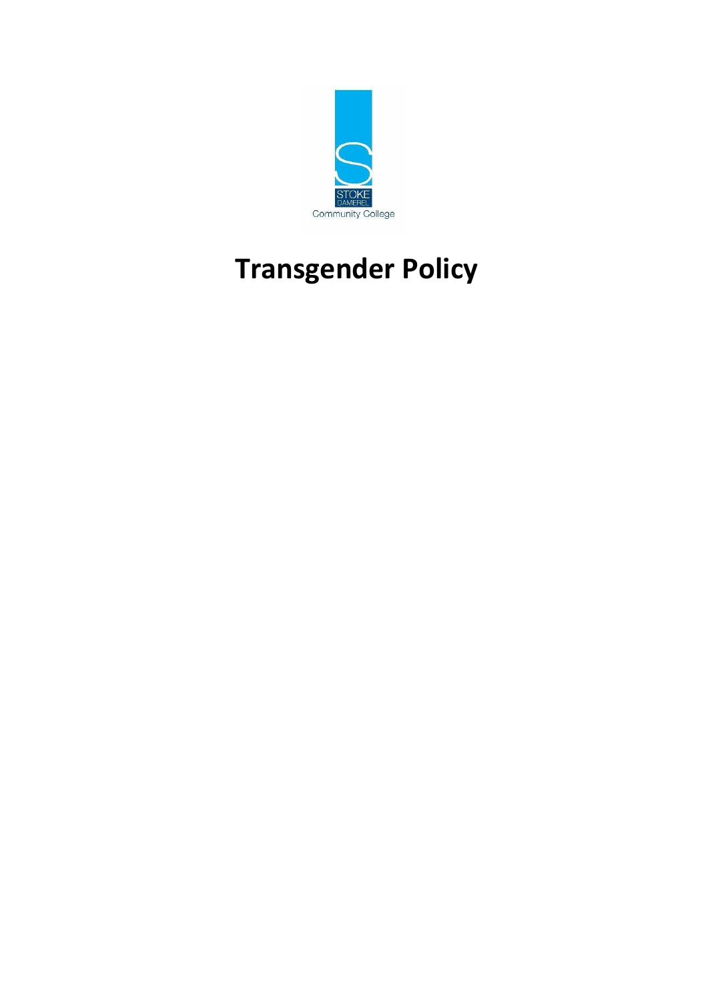

# **Transgender Policy**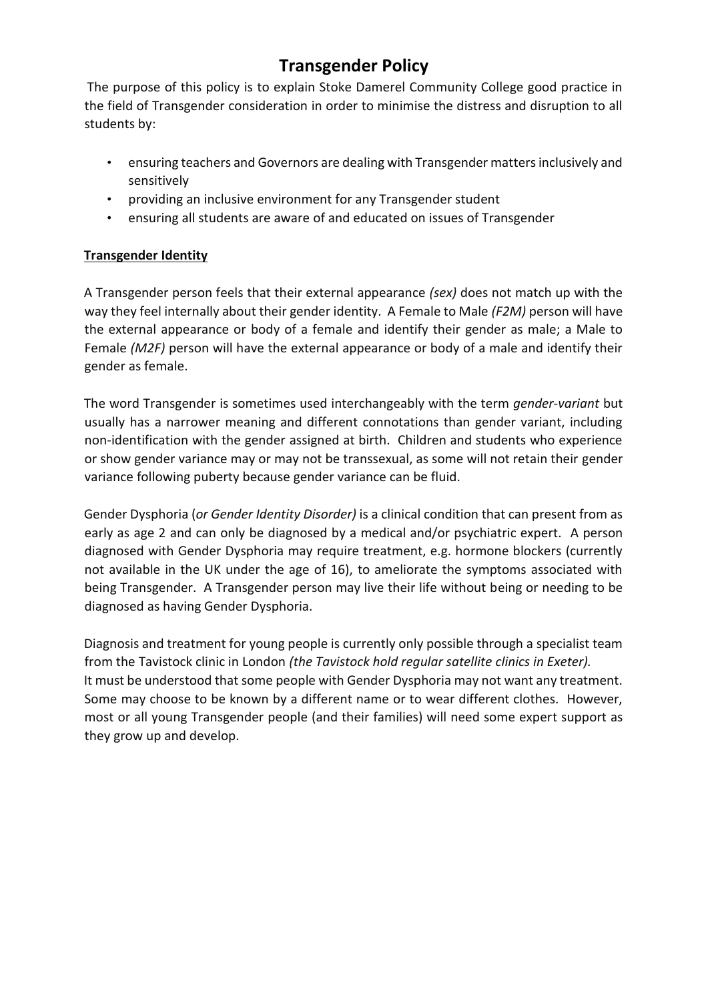# **Transgender Policy**

The purpose of this policy is to explain Stoke Damerel Community College good practice in the field of Transgender consideration in order to minimise the distress and disruption to all students by:

- ensuring teachers and Governors are dealing with Transgender matters inclusively and sensitively
- providing an inclusive environment for any Transgender student
- ensuring all students are aware of and educated on issues of Transgender

# **Transgender Identity**

A Transgender person feels that their external appearance *(sex)* does not match up with the way they feel internally about their gender identity. A Female to Male *(F2M)* person will have the external appearance or body of a female and identify their gender as male; a Male to Female *(M2F)* person will have the external appearance or body of a male and identify their gender as female.

The word Transgender is sometimes used interchangeably with the term *gender-variant* but usually has a narrower meaning and different connotations than gender variant, including non-identification with the gender assigned at birth. Children and students who experience or show gender variance may or may not be transsexual, as some will not retain their gender variance following puberty because gender variance can be fluid.

Gender Dysphoria (*or Gender Identity Disorder)* is a clinical condition that can present from as early as age 2 and can only be diagnosed by a medical and/or psychiatric expert. A person diagnosed with Gender Dysphoria may require treatment, e.g. hormone blockers (currently not available in the UK under the age of 16), to ameliorate the symptoms associated with being Transgender. A Transgender person may live their life without being or needing to be diagnosed as having Gender Dysphoria.

Diagnosis and treatment for young people is currently only possible through a specialist team from the Tavistock clinic in London *(the Tavistock hold regular satellite clinics in Exeter).* It must be understood that some people with Gender Dysphoria may not want any treatment. Some may choose to be known by a different name or to wear different clothes. However, most or all young Transgender people (and their families) will need some expert support as they grow up and develop.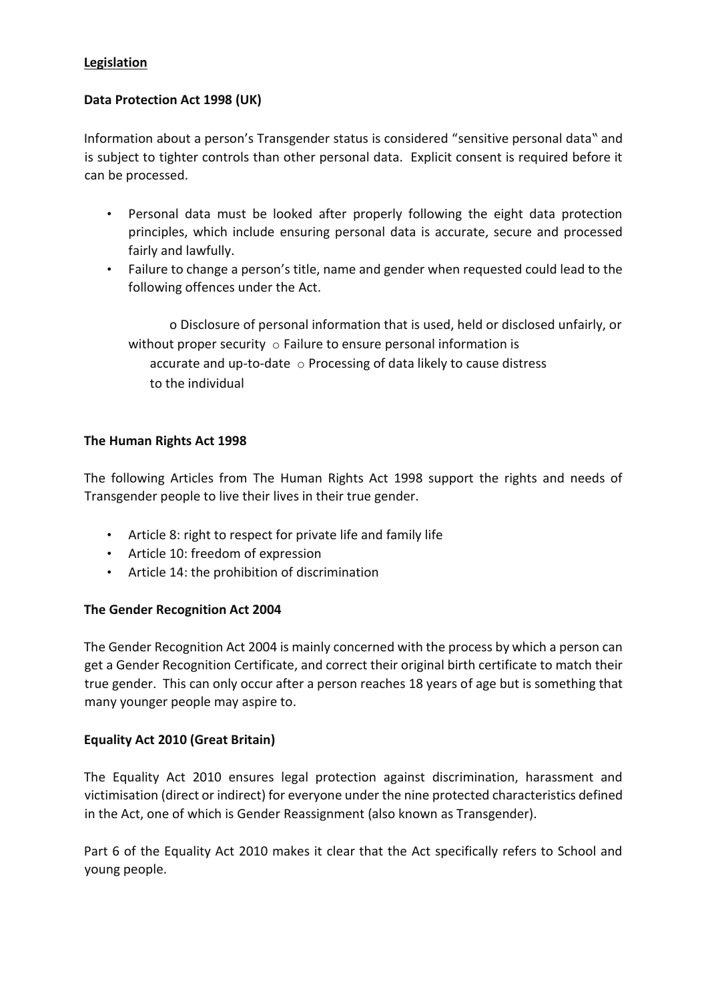#### **Legislation**

#### **Data Protection Act 1998 (UK)**

Information about a person's Transgender status is considered "sensitive personal data" and is subject to tighter controls than other personal data. Explicit consent is required before it can be processed.

- Personal data must be looked after properly following the eight data protection principles, which include ensuring personal data is accurate, secure and processed fairly and lawfully.
- Failure to change a person's title, name and gender when requested could lead to the following offences under the Act.

o Disclosure of personal information that is used, held or disclosed unfairly, or without proper security  $\circ$  Failure to ensure personal information is accurate and up-to-date  $\circ$  Processing of data likely to cause distress to the individual

#### **The Human Rights Act 1998**

The following Articles from The Human Rights Act 1998 support the rights and needs of Transgender people to live their lives in their true gender.

- Article 8: right to respect for private life and family life
- Article 10: freedom of expression
- Article 14: the prohibition of discrimination

#### **The Gender Recognition Act 2004**

The Gender Recognition Act 2004 is mainly concerned with the process by which a person can get a Gender Recognition Certificate, and correct their original birth certificate to match their true gender. This can only occur after a person reaches 18 years of age but is something that many younger people may aspire to.

#### **Equality Act 2010 (Great Britain)**

The Equality Act 2010 ensures legal protection against discrimination, harassment and victimisation (direct or indirect) for everyone under the nine protected characteristics defined in the Act, one of which is Gender Reassignment (also known as Transgender).

Part 6 of the Equality Act 2010 makes it clear that the Act specifically refers to School and young people.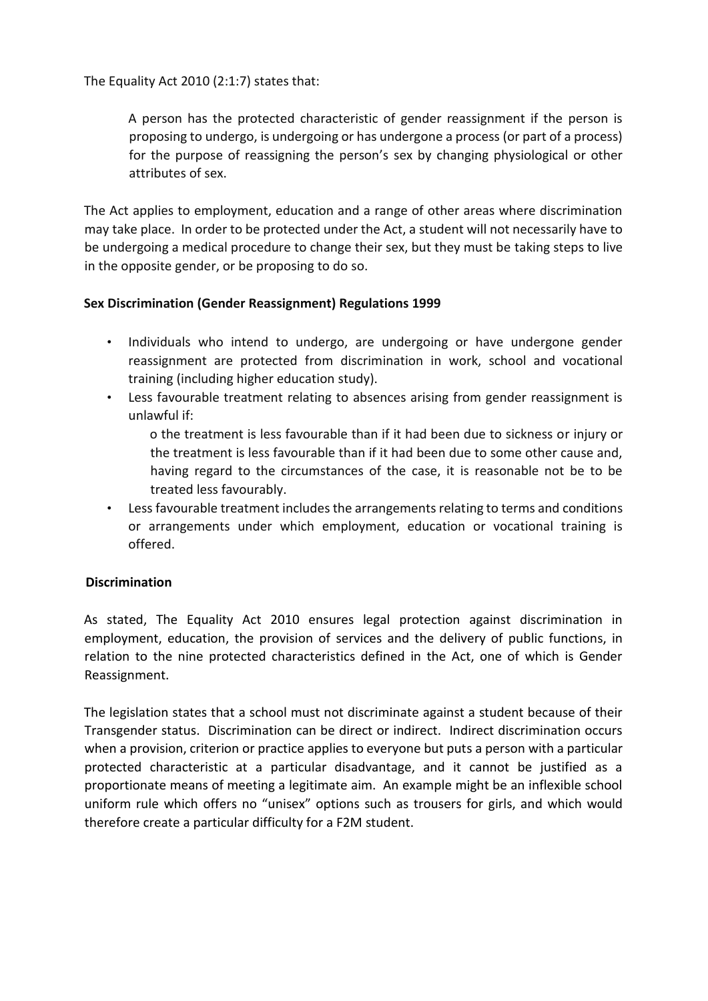The Equality Act 2010 (2:1:7) states that:

A person has the protected characteristic of gender reassignment if the person is proposing to undergo, is undergoing or has undergone a process (or part of a process) for the purpose of reassigning the person's sex by changing physiological or other attributes of sex.

The Act applies to employment, education and a range of other areas where discrimination may take place. In order to be protected under the Act, a student will not necessarily have to be undergoing a medical procedure to change their sex, but they must be taking steps to live in the opposite gender, or be proposing to do so.

#### **Sex Discrimination (Gender Reassignment) Regulations 1999**

- Individuals who intend to undergo, are undergoing or have undergone gender reassignment are protected from discrimination in work, school and vocational training (including higher education study).
- Less favourable treatment relating to absences arising from gender reassignment is unlawful if:
	- o the treatment is less favourable than if it had been due to sickness or injury or the treatment is less favourable than if it had been due to some other cause and, having regard to the circumstances of the case, it is reasonable not be to be treated less favourably.
- Less favourable treatment includes the arrangements relating to terms and conditions or arrangements under which employment, education or vocational training is offered.

# **Discrimination**

As stated, The Equality Act 2010 ensures legal protection against discrimination in employment, education, the provision of services and the delivery of public functions, in relation to the nine protected characteristics defined in the Act, one of which is Gender Reassignment.

The legislation states that a school must not discriminate against a student because of their Transgender status. Discrimination can be direct or indirect. Indirect discrimination occurs when a provision, criterion or practice applies to everyone but puts a person with a particular protected characteristic at a particular disadvantage, and it cannot be justified as a proportionate means of meeting a legitimate aim. An example might be an inflexible school uniform rule which offers no "unisex" options such as trousers for girls, and which would therefore create a particular difficulty for a F2M student.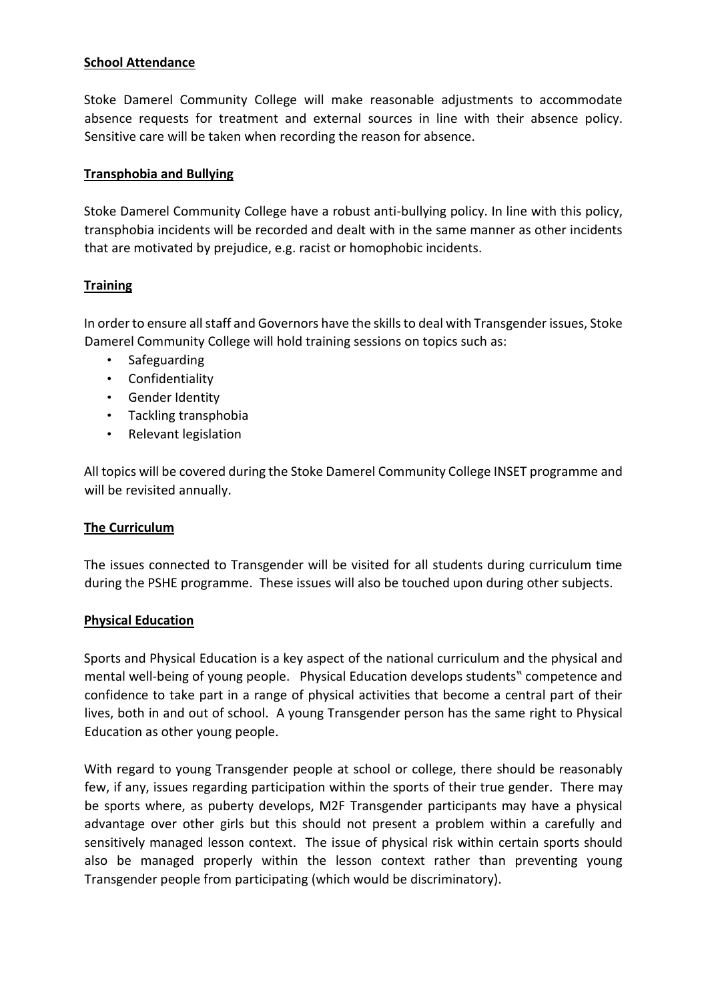#### **School Attendance**

Stoke Damerel Community College will make reasonable adjustments to accommodate absence requests for treatment and external sources in line with their absence policy. Sensitive care will be taken when recording the reason for absence.

#### **Transphobia and Bullying**

Stoke Damerel Community College have a robust anti-bullying policy. In line with this policy, transphobia incidents will be recorded and dealt with in the same manner as other incidents that are motivated by prejudice, e.g. racist or homophobic incidents.

#### **Training**

In order to ensure all staff and Governors have the skills to deal with Transgender issues, Stoke Damerel Community College will hold training sessions on topics such as:

- Safeguarding
- Confidentiality
- Gender Identity
- Tackling transphobia
- Relevant legislation

All topics will be covered during the Stoke Damerel Community College INSET programme and will be revisited annually.

#### **The Curriculum**

The issues connected to Transgender will be visited for all students during curriculum time during the PSHE programme. These issues will also be touched upon during other subjects.

#### **Physical Education**

Sports and Physical Education is a key aspect of the national curriculum and the physical and mental well-being of young people. Physical Education develops students" competence and confidence to take part in a range of physical activities that become a central part of their lives, both in and out of school. A young Transgender person has the same right to Physical Education as other young people.

With regard to young Transgender people at school or college, there should be reasonably few, if any, issues regarding participation within the sports of their true gender. There may be sports where, as puberty develops, M2F Transgender participants may have a physical advantage over other girls but this should not present a problem within a carefully and sensitively managed lesson context. The issue of physical risk within certain sports should also be managed properly within the lesson context rather than preventing young Transgender people from participating (which would be discriminatory).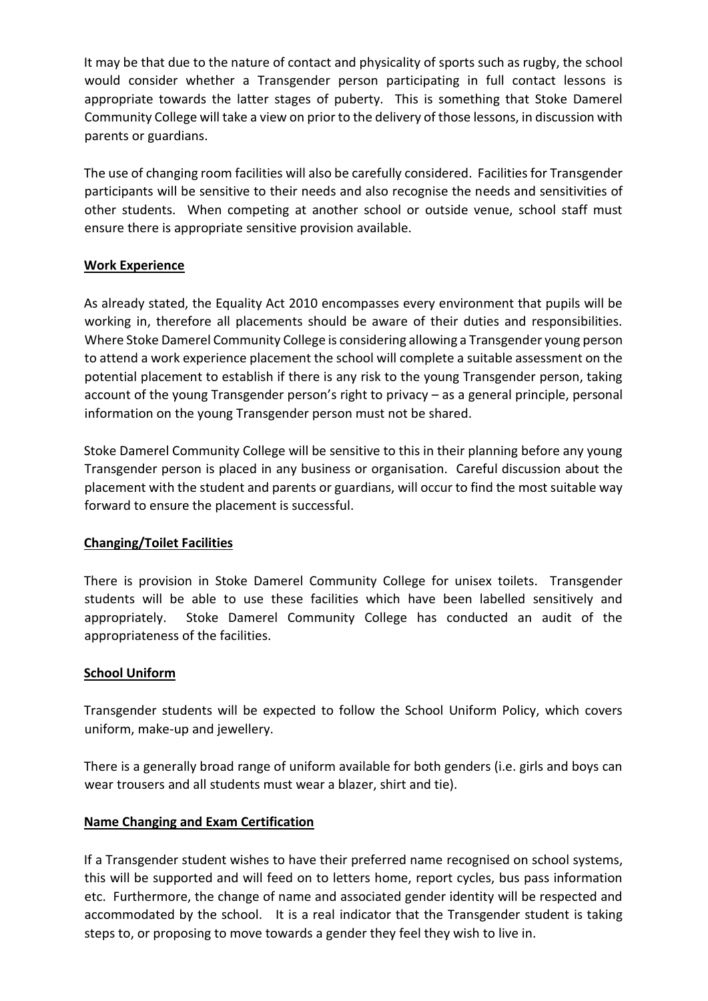It may be that due to the nature of contact and physicality of sports such as rugby, the school would consider whether a Transgender person participating in full contact lessons is appropriate towards the latter stages of puberty. This is something that Stoke Damerel Community College will take a view on prior to the delivery of those lessons, in discussion with parents or guardians.

The use of changing room facilities will also be carefully considered. Facilities for Transgender participants will be sensitive to their needs and also recognise the needs and sensitivities of other students. When competing at another school or outside venue, school staff must ensure there is appropriate sensitive provision available.

#### **Work Experience**

As already stated, the Equality Act 2010 encompasses every environment that pupils will be working in, therefore all placements should be aware of their duties and responsibilities. Where Stoke Damerel Community College is considering allowing a Transgender young person to attend a work experience placement the school will complete a suitable assessment on the potential placement to establish if there is any risk to the young Transgender person, taking account of the young Transgender person's right to privacy – as a general principle, personal information on the young Transgender person must not be shared.

Stoke Damerel Community College will be sensitive to this in their planning before any young Transgender person is placed in any business or organisation. Careful discussion about the placement with the student and parents or guardians, will occur to find the most suitable way forward to ensure the placement is successful.

# **Changing/Toilet Facilities**

There is provision in Stoke Damerel Community College for unisex toilets. Transgender students will be able to use these facilities which have been labelled sensitively and appropriately. Stoke Damerel Community College has conducted an audit of the appropriateness of the facilities.

#### **School Uniform**

Transgender students will be expected to follow the School Uniform Policy, which covers uniform, make-up and jewellery.

There is a generally broad range of uniform available for both genders (i.e. girls and boys can wear trousers and all students must wear a blazer, shirt and tie).

#### **Name Changing and Exam Certification**

If a Transgender student wishes to have their preferred name recognised on school systems, this will be supported and will feed on to letters home, report cycles, bus pass information etc. Furthermore, the change of name and associated gender identity will be respected and accommodated by the school. It is a real indicator that the Transgender student is taking steps to, or proposing to move towards a gender they feel they wish to live in.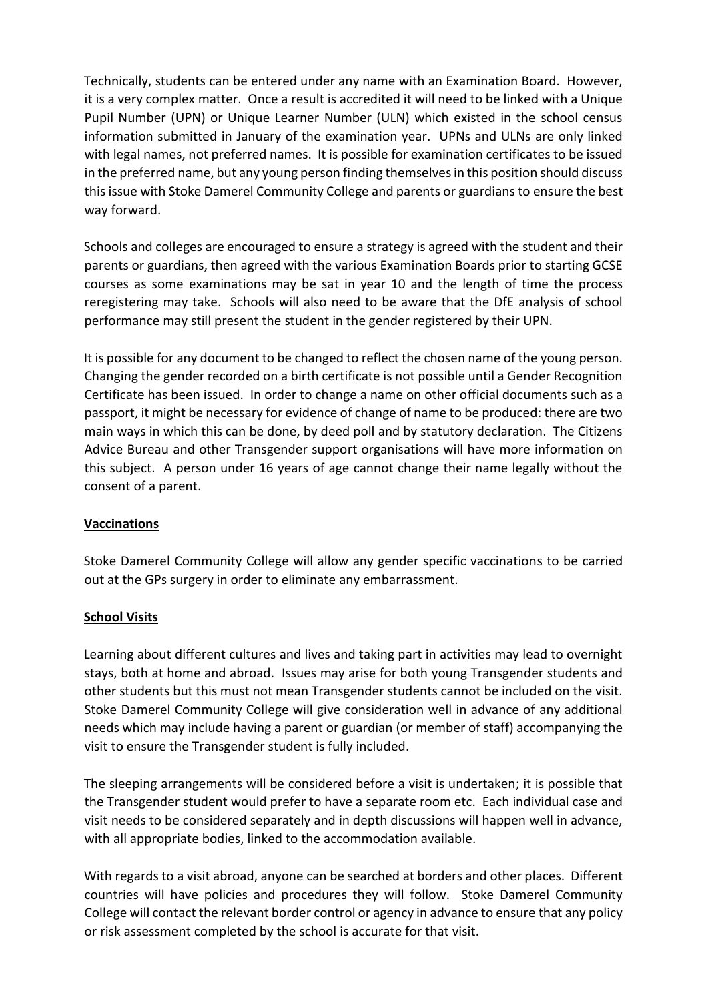Technically, students can be entered under any name with an Examination Board. However, it is a very complex matter. Once a result is accredited it will need to be linked with a Unique Pupil Number (UPN) or Unique Learner Number (ULN) which existed in the school census information submitted in January of the examination year. UPNs and ULNs are only linked with legal names, not preferred names. It is possible for examination certificates to be issued in the preferred name, but any young person finding themselves in this position should discuss this issue with Stoke Damerel Community College and parents or guardians to ensure the best way forward.

Schools and colleges are encouraged to ensure a strategy is agreed with the student and their parents or guardians, then agreed with the various Examination Boards prior to starting GCSE courses as some examinations may be sat in year 10 and the length of time the process reregistering may take. Schools will also need to be aware that the DfE analysis of school performance may still present the student in the gender registered by their UPN.

It is possible for any document to be changed to reflect the chosen name of the young person. Changing the gender recorded on a birth certificate is not possible until a Gender Recognition Certificate has been issued. In order to change a name on other official documents such as a passport, it might be necessary for evidence of change of name to be produced: there are two main ways in which this can be done, by deed poll and by statutory declaration. The Citizens Advice Bureau and other Transgender support organisations will have more information on this subject. A person under 16 years of age cannot change their name legally without the consent of a parent.

#### **Vaccinations**

Stoke Damerel Community College will allow any gender specific vaccinations to be carried out at the GPs surgery in order to eliminate any embarrassment.

#### **School Visits**

Learning about different cultures and lives and taking part in activities may lead to overnight stays, both at home and abroad. Issues may arise for both young Transgender students and other students but this must not mean Transgender students cannot be included on the visit. Stoke Damerel Community College will give consideration well in advance of any additional needs which may include having a parent or guardian (or member of staff) accompanying the visit to ensure the Transgender student is fully included.

The sleeping arrangements will be considered before a visit is undertaken; it is possible that the Transgender student would prefer to have a separate room etc. Each individual case and visit needs to be considered separately and in depth discussions will happen well in advance, with all appropriate bodies, linked to the accommodation available.

With regards to a visit abroad, anyone can be searched at borders and other places. Different countries will have policies and procedures they will follow. Stoke Damerel Community College will contact the relevant border control or agency in advance to ensure that any policy or risk assessment completed by the school is accurate for that visit.